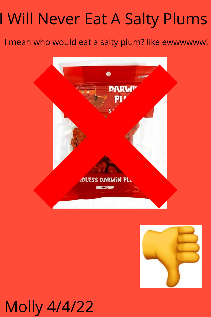## I Will Never Eat A Salty Plums

## I mean who would eat a salty plum? like ewwwwww!





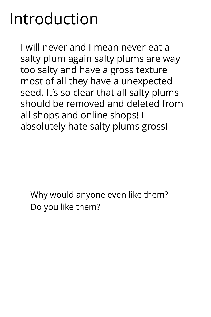## Introduction

I will never and I mean never eat a salty plum again salty plums are way too salty and have a gross texture most of all they have a unexpected seed. It's so clear that all salty plums should be removed and deleted from all shops and online shops! I absolutely hate salty plums gross!

Why would anyone even like them? Do you like them?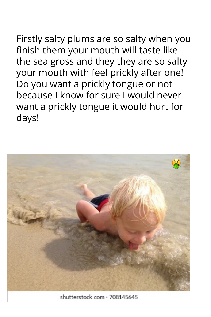Firstly salty plums are so salty when you finish them your mouth will taste like the sea gross and they they are so salty your mouth with feel prickly after one! Do you want a prickly tongue or not because I know for sure I would never want a prickly tongue it would hurt for days!



shutterstock.com · 708145645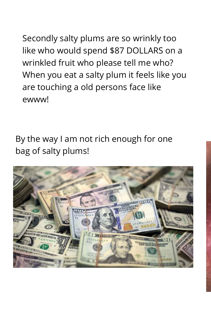Secondly salty plums are so wrinkly too like who would spend \$87 DOLLARS on a wrinkled fruit who please tell me who? When you eat a salty plum it feels like you are touching a old persons face like ewww!

By the way I am not rich enough for one bag of salty plums!

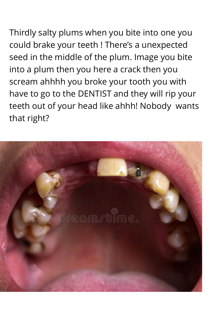Thirdly salty plums when you bite into one you could brake your teeth ! There's a unexpected seed in the middle of the plum. Image you bite into a plum then you here a crack then you scream ahhhh you broke your tooth you with have to go to the DENTIST and they will rip your teeth out of your head like ahhh! Nobody wants that right?

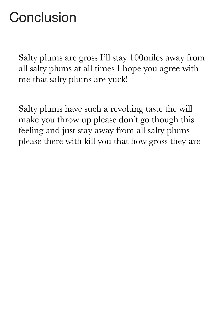## **Conclusion**

Salty plums are gross I'll stay 100miles away from all salty plums at all times I hope you agree with me that salty plums are yuck!

Salty plums have such a revolting taste the will make you throw up please don't go though this feeling and just stay away from all salty plums please there with kill you that how gross they are